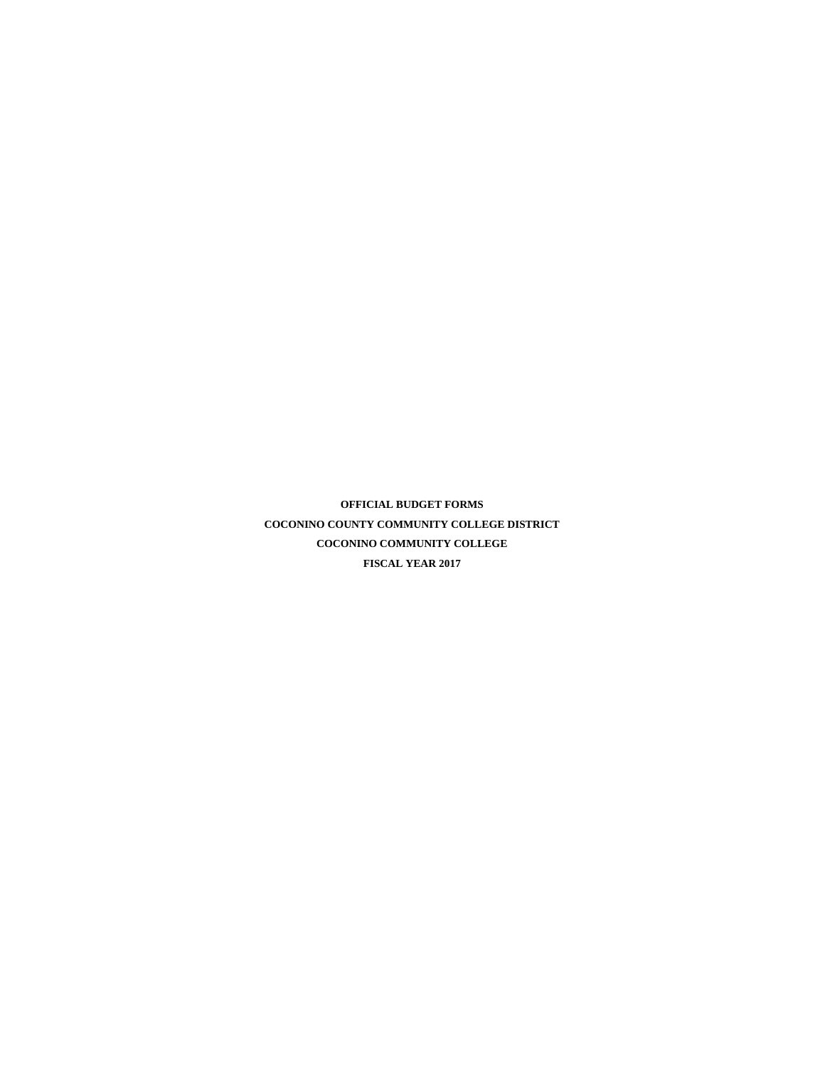**OFFICIAL BUDGET FORMS COCONINO COUNTY COMMUNITY COLLEGE DISTRICT COCONINO COMMUNITY COLLEGE FISCAL YEAR 2017**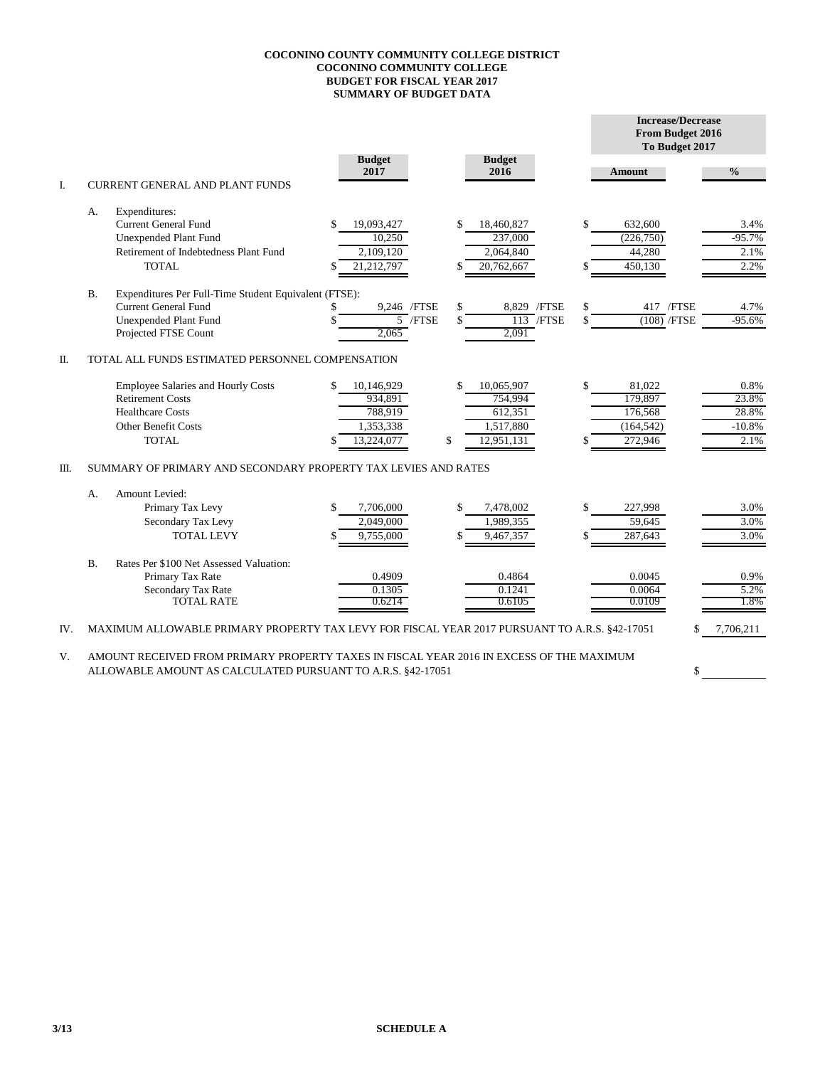## **COCONINO COUNTY COMMUNITY COLLEGE DISTRICT COCONINO COMMUNITY COLLEGE BUDGET FOR FISCAL YEAR 2017 SUMMARY OF BUDGET DATA**

|      |                                                                |                                                                                               |     |                       |                 |                       |              |    | <b>Increase/Decrease</b><br>From Budget 2016<br>To Budget 2017 |  |               |  |  |  |
|------|----------------------------------------------------------------|-----------------------------------------------------------------------------------------------|-----|-----------------------|-----------------|-----------------------|--------------|----|----------------------------------------------------------------|--|---------------|--|--|--|
|      |                                                                |                                                                                               |     | <b>Budget</b><br>2017 |                 | <b>Budget</b><br>2016 |              |    | <b>Amount</b>                                                  |  | $\frac{0}{0}$ |  |  |  |
| I.   |                                                                | <b>CURRENT GENERAL AND PLANT FUNDS</b>                                                        |     |                       |                 |                       |              |    |                                                                |  |               |  |  |  |
|      | А.                                                             | Expenditures:                                                                                 |     |                       |                 |                       |              |    |                                                                |  |               |  |  |  |
|      |                                                                | <b>Current General Fund</b>                                                                   | \$  | 19,093,427            | \$              | 18,460,827            |              | \$ | 632,600                                                        |  | 3.4%          |  |  |  |
|      |                                                                | <b>Unexpended Plant Fund</b>                                                                  |     | 10,250                |                 | 237,000               |              |    | (226,750)                                                      |  | $-95.7%$      |  |  |  |
|      |                                                                | Retirement of Indebtedness Plant Fund                                                         |     | 2,109,120             |                 | 2,064,840             |              |    | 44,280                                                         |  | 2.1%          |  |  |  |
|      |                                                                | TOTAL                                                                                         | S.  | 21,212,797            | \$              | 20,762,667            |              |    | 450,130                                                        |  | 2.2%          |  |  |  |
|      | <b>B.</b>                                                      | Expenditures Per Full-Time Student Equivalent (FTSE):                                         |     |                       |                 |                       |              |    |                                                                |  |               |  |  |  |
|      |                                                                | <b>Current General Fund</b>                                                                   |     | 9.246 / FTSE          | \$              |                       | 8.829 / FTSE | \$ | 417 /FTSE                                                      |  | 4.7%          |  |  |  |
|      |                                                                | Unexpended Plant Fund                                                                         |     |                       | $5$ /FTSE<br>\$ |                       | $113$ /FTSE  |    | $(108)$ /FTSE                                                  |  | $-95.6%$      |  |  |  |
|      |                                                                | Projected FTSE Count                                                                          |     | 2,065                 |                 | 2,091                 |              |    |                                                                |  |               |  |  |  |
| Π.   |                                                                | TOTAL ALL FUNDS ESTIMATED PERSONNEL COMPENSATION                                              |     |                       |                 |                       |              |    |                                                                |  |               |  |  |  |
|      |                                                                | <b>Employee Salaries and Hourly Costs</b>                                                     | \$. | 10,146,929            | \$              | 10.065.907            |              | \$ | 81.022                                                         |  | 0.8%          |  |  |  |
|      |                                                                | <b>Retirement Costs</b>                                                                       |     | 934,891               |                 | 754,994               |              |    | 179,897                                                        |  | 23.8%         |  |  |  |
|      |                                                                | <b>Healthcare Costs</b>                                                                       |     | 788,919               |                 | 612,351               |              |    | 176,568                                                        |  | 28.8%         |  |  |  |
|      |                                                                | <b>Other Benefit Costs</b>                                                                    |     | 1,353,338             |                 | 1,517,880             |              |    | (164, 542)                                                     |  | $-10.8%$      |  |  |  |
|      |                                                                | <b>TOTAL</b>                                                                                  |     | 13,224,077            | \$              | 12,951,131            |              |    | 272,946                                                        |  | 2.1%          |  |  |  |
| III. | SUMMARY OF PRIMARY AND SECONDARY PROPERTY TAX LEVIES AND RATES |                                                                                               |     |                       |                 |                       |              |    |                                                                |  |               |  |  |  |
|      | А.                                                             | Amount Levied:                                                                                |     |                       |                 |                       |              |    |                                                                |  |               |  |  |  |
|      |                                                                | Primary Tax Levy                                                                              | \$  | 7,706,000             | \$              | 7,478,002             |              | \$ | 227,998                                                        |  | 3.0%          |  |  |  |
|      |                                                                | Secondary Tax Levy                                                                            |     | 2,049,000             |                 | 1,989,355             |              |    | 59,645                                                         |  | 3.0%          |  |  |  |
|      |                                                                | <b>TOTAL LEVY</b>                                                                             |     | 9,755,000             | \$              | 9,467,357             |              |    | 287,643                                                        |  | 3.0%          |  |  |  |
|      | <b>B.</b>                                                      | Rates Per \$100 Net Assessed Valuation:                                                       |     |                       |                 |                       |              |    |                                                                |  |               |  |  |  |
|      |                                                                | Primary Tax Rate                                                                              |     | 0.4909                |                 | 0.4864                |              |    | 0.0045                                                         |  | 0.9%          |  |  |  |
|      |                                                                | Secondary Tax Rate                                                                            |     | 0.1305                |                 | 0.1241                |              |    | 0.0064                                                         |  | 5.2%          |  |  |  |
|      |                                                                | <b>TOTAL RATE</b>                                                                             |     | 0.6214                |                 | 0.6105                |              |    | 0.0109                                                         |  | 1.8%          |  |  |  |
| IV.  |                                                                | MAXIMUM ALLOWABLE PRIMARY PROPERTY TAX LEVY FOR FISCAL YEAR 2017 PURSUANT TO A.R.S. §42-17051 |     |                       |                 |                       |              |    |                                                                |  | 7,706,211     |  |  |  |
|      |                                                                |                                                                                               |     |                       |                 |                       |              |    |                                                                |  |               |  |  |  |

\$

V. AMOUNT RECEIVED FROM PRIMARY PROPERTY TAXES IN FISCAL YEAR 2016 IN EXCESS OF THE MAXIMUM ALLOWABLE AMOUNT AS CALCULATED PURSUANT TO A.R.S. §42-17051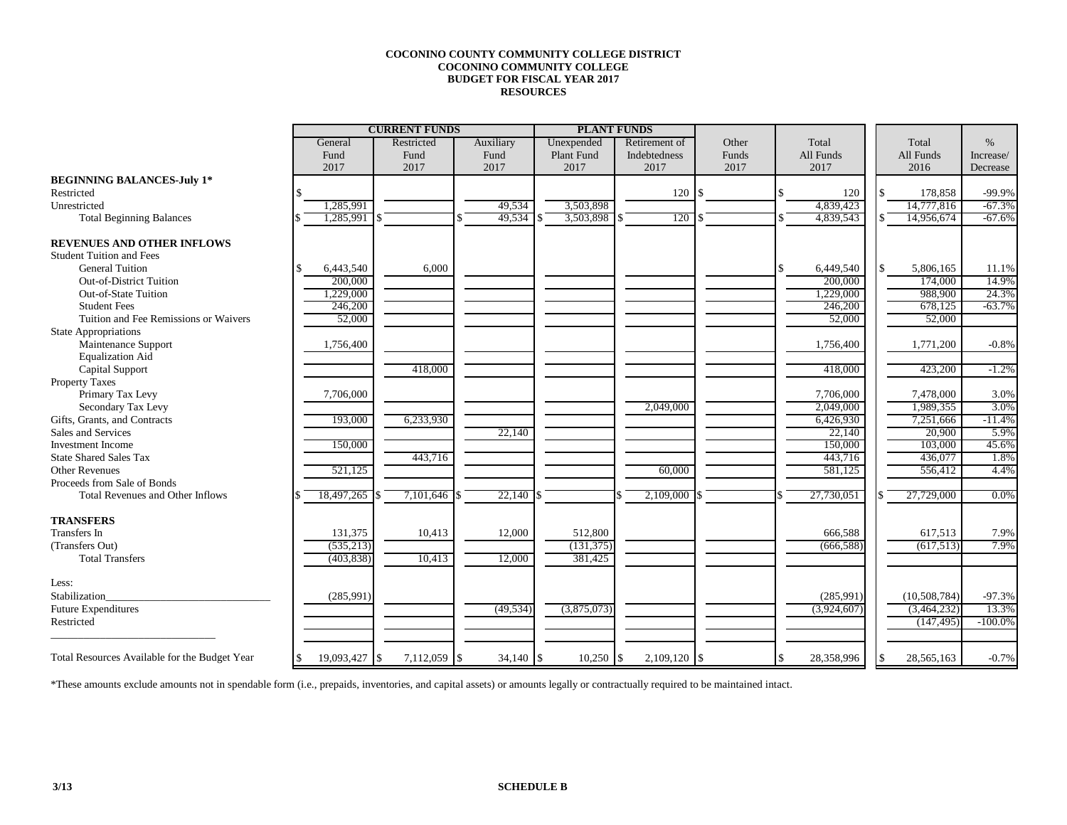## **COCONINO COUNTY COMMUNITY COLLEGE DISTRICT COCONINO COMMUNITY COLLEGE BUDGET FOR FISCAL YEAR 2017 RESOURCES**

|                                               |                       | <b>CURRENT FUNDS</b>     |           |             | <b>PLANT FUNDS</b> |       |             |                   |            |
|-----------------------------------------------|-----------------------|--------------------------|-----------|-------------|--------------------|-------|-------------|-------------------|------------|
|                                               | General<br>Restricted |                          | Auxiliary | Unexpended  | Retirement of      | Other | Total       | Total             | $\%$       |
|                                               | Fund                  | Fund                     | Fund      | Plant Fund  | Indebtedness       | Funds | All Funds   | All Funds         | Increase/  |
|                                               | 2017                  | 2017                     | 2017      | 2017        | 2017               | 2017  | 2017        | 2016              | Decrease   |
| <b>BEGINNING BALANCES-July 1*</b>             |                       |                          |           |             |                    |       |             |                   |            |
| Restricted                                    |                       |                          |           |             | $120 \text{ s}$    |       | 120         | ¢<br>178,858      | $-99.9%$   |
| Unrestricted                                  | 1,285,991             |                          | 49,534    | 3,503,898   |                    |       | 4,839,423   | 14,777,816        | $-67.3%$   |
| <b>Total Beginning Balances</b>               | 1,285,991             |                          | 49,534    | 3,503,898   | 120                |       | 4,839,543   | 14,956,674        | $-67.6%$   |
| <b>REVENUES AND OTHER INFLOWS</b>             |                       |                          |           |             |                    |       |             |                   |            |
| <b>Student Tuition and Fees</b>               |                       |                          |           |             |                    |       |             |                   |            |
| <b>General Tuition</b>                        | 6,443,540<br>\$       | 6,000                    |           |             |                    |       | 6,449,540   | \$<br>5,806,165   | 11.1%      |
| Out-of-District Tuition                       | 200,000               |                          |           |             |                    |       | 200,000     | 174,000           | 14.9%      |
| <b>Out-of-State Tuition</b>                   | 1,229,000             |                          |           |             |                    |       | 1,229,000   | 988,900           | 24.3%      |
| <b>Student Fees</b>                           | 246,200               |                          |           |             |                    |       | 246,200     | 678,125           | $-63.7%$   |
| Tuition and Fee Remissions or Waivers         | 52,000                |                          |           |             |                    |       | 52,000      | 52,000            |            |
| <b>State Appropriations</b>                   |                       |                          |           |             |                    |       |             |                   |            |
| Maintenance Support                           | 1,756,400             |                          |           |             |                    |       | 1,756,400   | 1,771,200         | $-0.8%$    |
| <b>Equalization Aid</b>                       |                       |                          |           |             |                    |       |             |                   |            |
| <b>Capital Support</b>                        |                       | 418,000                  |           |             |                    |       | 418,000     | 423,200           | $-1.2\%$   |
| <b>Property Taxes</b>                         |                       |                          |           |             |                    |       |             |                   |            |
| Primary Tax Levy                              | 7,706,000             |                          |           |             |                    |       | 7,706,000   | 7,478,000         | 3.0%       |
| Secondary Tax Levy                            |                       |                          |           |             | 2,049,000          |       | 2,049,000   | 1,989,355         | 3.0%       |
| Gifts, Grants, and Contracts                  | 193,000               | 6,233,930                |           |             |                    |       | 6,426,930   | 7,251,666         | $-11.4%$   |
| Sales and Services                            |                       |                          | 22,140    |             |                    |       | 22,140      | 20,900            | 5.9%       |
| <b>Investment Income</b>                      | 150,000               |                          |           |             |                    |       | 150,000     | 103,000           | 45.6%      |
| <b>State Shared Sales Tax</b>                 |                       | 443,716                  |           |             |                    |       | 443,716     | 436,077           | 1.8%       |
| <b>Other Revenues</b>                         | 521,125               |                          |           |             | 60,000             |       | 581,125     | 556,412           | 4.4%       |
| Proceeds from Sale of Bonds                   |                       |                          |           |             |                    |       |             |                   |            |
| Total Revenues and Other Inflows              | 18,497,265            | 7,101,646                | 22,140    |             | 2,109,000          |       | 27,730,051  | 27,729,000        | $0.0\%$    |
| <b>TRANSFERS</b>                              |                       |                          |           |             |                    |       |             |                   |            |
| <b>Transfers</b> In                           | 131,375               | 10,413                   | 12,000    | 512,800     |                    |       | 666,588     | 617,513           | 7.9%       |
| (Transfers Out)                               | (535, 213)            |                          |           | (131, 375)  |                    |       | (666, 588)  | (617,513)         | 7.9%       |
| <b>Total Transfers</b>                        | (403, 838)            | 10,413                   | 12,000    | 381,425     |                    |       |             |                   |            |
| Less:                                         |                       |                          |           |             |                    |       |             |                   |            |
| Stabilization                                 | (285,991)             |                          |           |             |                    |       | (285,991)   | (10,508,784)      | $-97.3%$   |
| <b>Future Expenditures</b>                    |                       |                          | (49, 534) | (3,875,073) |                    |       | (3,924,607) | (3,464,232)       | 13.3%      |
| Restricted                                    |                       |                          |           |             |                    |       |             | (147, 495)        | $-100.0\%$ |
|                                               |                       |                          |           |             |                    |       |             |                   |            |
| Total Resources Available for the Budget Year | \$<br>19,093,427      | 7,112,059 \$<br><b>S</b> |           |             | $2,109,120$ \$     |       | 28,358,996  | 28,565,163<br>\$. | $-0.7%$    |

\*These amounts exclude amounts not in spendable form (i.e., prepaids, inventories, and capital assets) or amounts legally or contractually required to be maintained intact.